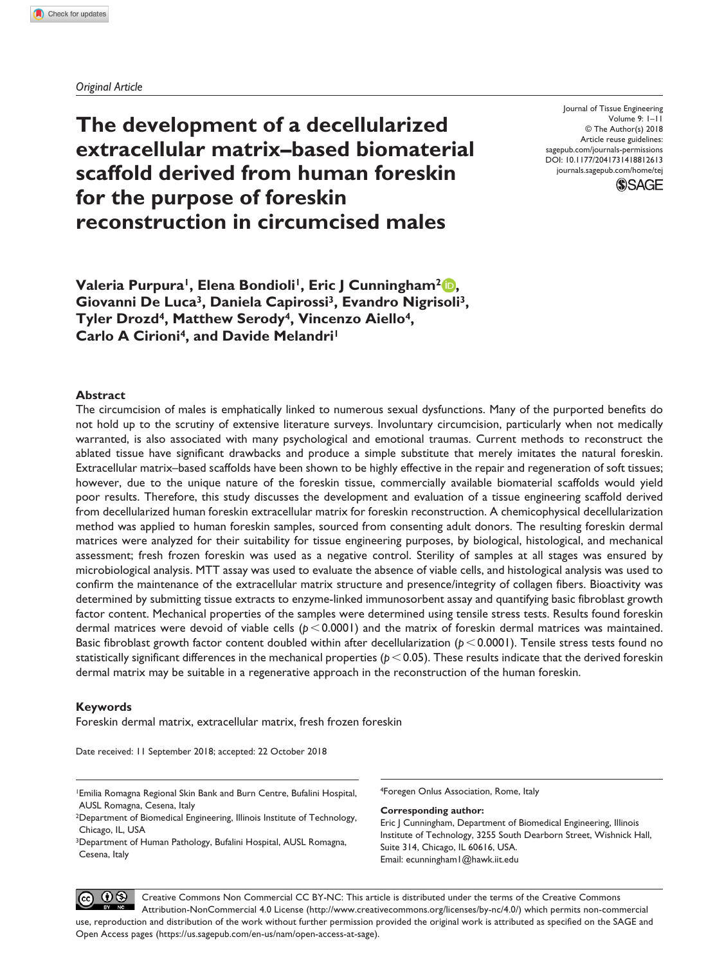*Original Article*

**The development of a decellularized extracellular matrix–based biomaterial scaffold derived from human foreskin for the purpose of foreskin reconstruction in circumcised males**

DOI: 10.1177/2041731418812613 Journal of Tissue Engineering Volume 9: 1–11 © The Author(s) 2018 Article reuse guidelines: [sagepub.com/journals-permissions](https://uk.sagepub.com/en-gb/journals-permissions) [journals.sagepub.com/home/tej](https://journals.sagepub.com/home/tej)



**Valeria Purpura<sup>1</sup>, Elena Bondioli<sup>1</sup>, Eric I Cunningham<sup>2</sup> <b>D**, **Giovanni De Luca3, Daniela Capirossi3, Evandro Nigrisoli3, Tyler Drozd4, Matthew Serody4, Vincenzo Aiello4, Carlo A Cirioni<sup>4</sup>, and Davide Melandri<sup>1</sup>** 

## **Abstract**

The circumcision of males is emphatically linked to numerous sexual dysfunctions. Many of the purported benefits do not hold up to the scrutiny of extensive literature surveys. Involuntary circumcision, particularly when not medically warranted, is also associated with many psychological and emotional traumas. Current methods to reconstruct the ablated tissue have significant drawbacks and produce a simple substitute that merely imitates the natural foreskin. Extracellular matrix–based scaffolds have been shown to be highly effective in the repair and regeneration of soft tissues; however, due to the unique nature of the foreskin tissue, commercially available biomaterial scaffolds would yield poor results. Therefore, this study discusses the development and evaluation of a tissue engineering scaffold derived from decellularized human foreskin extracellular matrix for foreskin reconstruction. A chemicophysical decellularization method was applied to human foreskin samples, sourced from consenting adult donors. The resulting foreskin dermal matrices were analyzed for their suitability for tissue engineering purposes, by biological, histological, and mechanical assessment; fresh frozen foreskin was used as a negative control. Sterility of samples at all stages was ensured by microbiological analysis. MTT assay was used to evaluate the absence of viable cells, and histological analysis was used to confirm the maintenance of the extracellular matrix structure and presence/integrity of collagen fibers. Bioactivity was determined by submitting tissue extracts to enzyme-linked immunosorbent assay and quantifying basic fibroblast growth factor content. Mechanical properties of the samples were determined using tensile stress tests. Results found foreskin dermal matrices were devoid of viable cells ( $p < 0.0001$ ) and the matrix of foreskin dermal matrices was maintained. Basic fibroblast growth factor content doubled within after decellularization (*p*<0.0001). Tensile stress tests found no statistically significant differences in the mechanical properties ( $p < 0.05$ ). These results indicate that the derived foreskin dermal matrix may be suitable in a regenerative approach in the reconstruction of the human foreskin.

#### **Keywords**

Foreskin dermal matrix, extracellular matrix, fresh frozen foreskin

Date received: 11 September 2018; accepted: 22 October 2018

1Emilia Romagna Regional Skin Bank and Burn Centre, Bufalini Hospital, AUSL Romagna, Cesena, Italy

3Department of Human Pathology, Bufalini Hospital, AUSL Romagna, Cesena, Italy

4Foregen Onlus Association, Rome, Italy

**Corresponding author:**

Eric J Cunningham, Department of Biomedical Engineering, Illinois Institute of Technology, 3255 South Dearborn Street, Wishnick Hall, Suite 314, Chicago, IL 60616, USA. Email: [ecunningham1@hawk.iit.edu](mailto:ecunningham1@hawk.iit.edu)

 $\odot$ Creative Commons Non Commercial CC BY-NC: This article is distributed under the terms of the Creative Commons Attribution-NonCommercial 4.0 License (http://www.creativecommons.org/licenses/by-nc/4.0/) which permits non-commercial use, reproduction and distribution of the work without further permission provided the original work is attributed as specified on the SAGE and Open Access pages (https://us.sagepub.com/en-us/nam/open-access-at-sage).

<sup>2</sup>Department of Biomedical Engineering, Illinois Institute of Technology, Chicago, IL, USA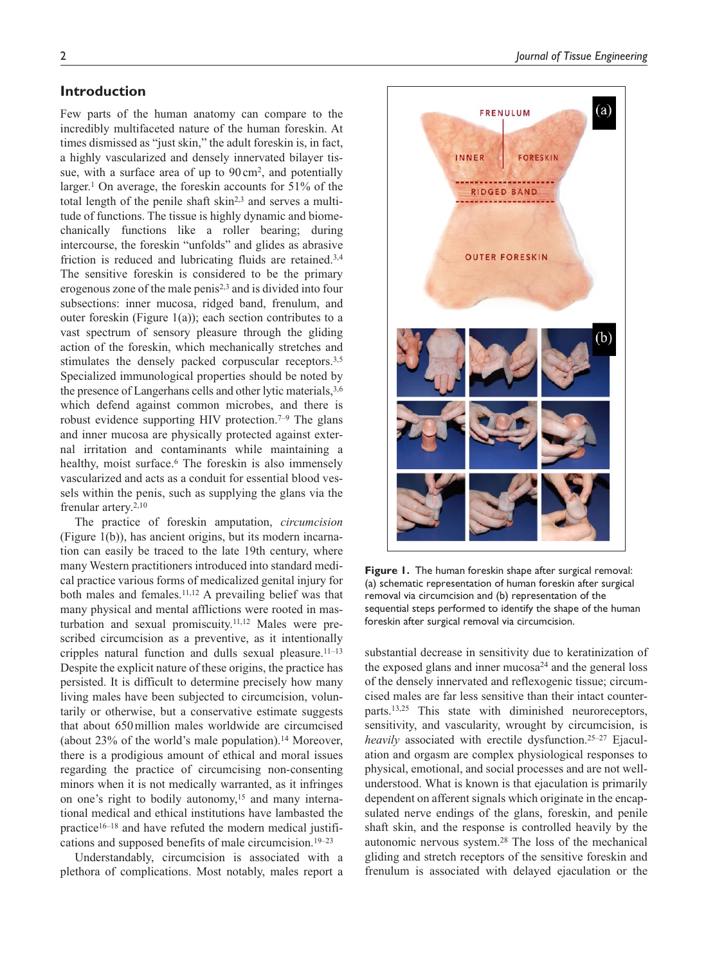# **Introduction**

Few parts of the human anatomy can compare to the incredibly multifaceted nature of the human foreskin. At times dismissed as "just skin," the adult foreskin is, in fact, a highly vascularized and densely innervated bilayer tissue, with a surface area of up to 90 cm<sup>2</sup>, and potentially larger.<sup>1</sup> On average, the foreskin accounts for  $51\%$  of the total length of the penile shaft skin<sup>2,3</sup> and serves a multitude of functions. The tissue is highly dynamic and biomechanically functions like a roller bearing; during intercourse, the foreskin "unfolds" and glides as abrasive friction is reduced and lubricating fluids are retained.3,4 The sensitive foreskin is considered to be the primary erogenous zone of the male penis<sup>2,3</sup> and is divided into four subsections: inner mucosa, ridged band, frenulum, and outer foreskin (Figure 1(a)); each section contributes to a vast spectrum of sensory pleasure through the gliding action of the foreskin, which mechanically stretches and stimulates the densely packed corpuscular receptors.3,5 Specialized immunological properties should be noted by the presence of Langerhans cells and other lytic materials, 3,6 which defend against common microbes, and there is robust evidence supporting HIV protection.<sup>7-9</sup> The glans and inner mucosa are physically protected against external irritation and contaminants while maintaining a healthy, moist surface.<sup>6</sup> The foreskin is also immensely vascularized and acts as a conduit for essential blood vessels within the penis, such as supplying the glans via the frenular artery.2,10

The practice of foreskin amputation, *circumcision* (Figure 1(b)), has ancient origins, but its modern incarnation can easily be traced to the late 19th century, where many Western practitioners introduced into standard medical practice various forms of medicalized genital injury for both males and females.11,12 A prevailing belief was that many physical and mental afflictions were rooted in masturbation and sexual promiscuity.11,12 Males were prescribed circumcision as a preventive, as it intentionally cripples natural function and dulls sexual pleasure.11–13 Despite the explicit nature of these origins, the practice has persisted. It is difficult to determine precisely how many living males have been subjected to circumcision, voluntarily or otherwise, but a conservative estimate suggests that about 650million males worldwide are circumcised (about  $23\%$  of the world's male population).<sup>14</sup> Moreover, there is a prodigious amount of ethical and moral issues regarding the practice of circumcising non-consenting minors when it is not medically warranted, as it infringes on one's right to bodily autonomy,<sup>15</sup> and many international medical and ethical institutions have lambasted the practice16–18 and have refuted the modern medical justifications and supposed benefits of male circumcision.19–23

Understandably, circumcision is associated with a plethora of complications. Most notably, males report a



**Figure 1.** The human foreskin shape after surgical removal: (a) schematic representation of human foreskin after surgical removal via circumcision and (b) representation of the sequential steps performed to identify the shape of the human foreskin after surgical removal via circumcision.

substantial decrease in sensitivity due to keratinization of the exposed glans and inner mucosa<sup>24</sup> and the general loss of the densely innervated and reflexogenic tissue; circumcised males are far less sensitive than their intact counterparts.13,25 This state with diminished neuroreceptors, sensitivity, and vascularity, wrought by circumcision, is *heavily* associated with erectile dysfunction.<sup>25–27</sup> Ejaculation and orgasm are complex physiological responses to physical, emotional, and social processes and are not wellunderstood. What is known is that ejaculation is primarily dependent on afferent signals which originate in the encapsulated nerve endings of the glans, foreskin, and penile shaft skin, and the response is controlled heavily by the autonomic nervous system.28 The loss of the mechanical gliding and stretch receptors of the sensitive foreskin and frenulum is associated with delayed ejaculation or the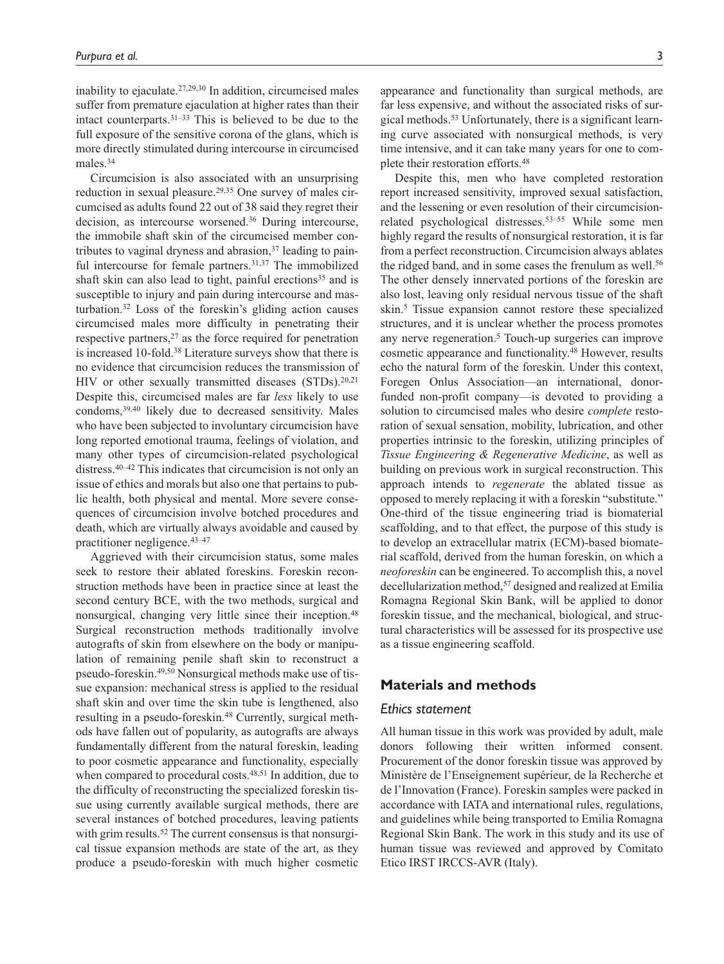inability to ejaculate.27,29,30 In addition, circumcised males suffer from premature ejaculation at higher rates than their intact counterparts.31–33 This is believed to be due to the full exposure of the sensitive corona of the glans, which is more directly stimulated during intercourse in circumcised males.34

Circumcision is also associated with an unsurprising reduction in sexual pleasure.<sup>29,35</sup> One survey of males circumcised as adults found 22 out of 38 said they regret their decision, as intercourse worsened.<sup>36</sup> During intercourse, the immobile shaft skin of the circumcised member contributes to vaginal dryness and abrasion,<sup>37</sup> leading to painful intercourse for female partners.<sup>31,37</sup> The immobilized shaft skin can also lead to tight, painful erections<sup>35</sup> and is susceptible to injury and pain during intercourse and masturbation.32 Loss of the foreskin's gliding action causes circumcised males more difficulty in penetrating their respective partners,27 as the force required for penetration is increased 10-fold.38 Literature surveys show that there is no evidence that circumcision reduces the transmission of HIV or other sexually transmitted diseases (STDs).20,21 Despite this, circumcised males are far *less* likely to use condoms,39,40 likely due to decreased sensitivity. Males who have been subjected to involuntary circumcision have long reported emotional trauma, feelings of violation, and many other types of circumcision-related psychological distress.40–42 This indicates that circumcision is not only an issue of ethics and morals but also one that pertains to public health, both physical and mental. More severe consequences of circumcision involve botched procedures and death, which are virtually always avoidable and caused by practitioner negligence.43–47

Aggrieved with their circumcision status, some males seek to restore their ablated foreskins. Foreskin reconstruction methods have been in practice since at least the second century BCE, with the two methods, surgical and nonsurgical, changing very little since their inception.<sup>48</sup> Surgical reconstruction methods traditionally involve autografts of skin from elsewhere on the body or manipulation of remaining penile shaft skin to reconstruct a pseudo-foreskin.49,50 Nonsurgical methods make use of tissue expansion: mechanical stress is applied to the residual shaft skin and over time the skin tube is lengthened, also resulting in a pseudo-foreskin.48 Currently, surgical methods have fallen out of popularity, as autografts are always fundamentally different from the natural foreskin, leading to poor cosmetic appearance and functionality, especially when compared to procedural costs.<sup>48,51</sup> In addition, due to the difficulty of reconstructing the specialized foreskin tissue using currently available surgical methods, there are several instances of botched procedures, leaving patients with grim results.<sup>52</sup> The current consensus is that nonsurgical tissue expansion methods are state of the art, as they produce a pseudo-foreskin with much higher cosmetic appearance and functionality than surgical methods, are far less expensive, and without the associated risks of surgical methods.53 Unfortunately, there is a significant learning curve associated with nonsurgical methods, is very time intensive, and it can take many years for one to complete their restoration efforts.48

Despite this, men who have completed restoration report increased sensitivity, improved sexual satisfaction, and the lessening or even resolution of their circumcisionrelated psychological distresses.53–55 While some men highly regard the results of nonsurgical restoration, it is far from a perfect reconstruction. Circumcision always ablates the ridged band, and in some cases the frenulum as well.<sup>56</sup> The other densely innervated portions of the foreskin are also lost, leaving only residual nervous tissue of the shaft skin.5 Tissue expansion cannot restore these specialized structures, and it is unclear whether the process promotes any nerve regeneration.<sup>5</sup> Touch-up surgeries can improve cosmetic appearance and functionality.48 However, results echo the natural form of the foreskin. Under this context, Foregen Onlus Association—an international, donorfunded non-profit company—is devoted to providing a solution to circumcised males who desire *complete* restoration of sexual sensation, mobility, lubrication, and other properties intrinsic to the foreskin, utilizing principles of *Tissue Engineering & Regenerative Medicine*, as well as building on previous work in surgical reconstruction. This approach intends to *regenerate* the ablated tissue as opposed to merely replacing it with a foreskin "substitute." One-third of the tissue engineering triad is biomaterial scaffolding, and to that effect, the purpose of this study is to develop an extracellular matrix (ECM)-based biomaterial scaffold, derived from the human foreskin, on which a *neoforeskin* can be engineered. To accomplish this, a novel decellularization method,<sup>57</sup> designed and realized at Emilia Romagna Regional Skin Bank, will be applied to donor foreskin tissue, and the mechanical, biological, and structural characteristics will be assessed for its prospective use as a tissue engineering scaffold.

## **Materials and methods**

## *Ethics statement*

All human tissue in this work was provided by adult, male donors following their written informed consent. Procurement of the donor foreskin tissue was approved by Ministère de l'Enseignement supérieur, de la Recherche et de l'Innovation (France). Foreskin samples were packed in accordance with IATA and international rules, regulations, and guidelines while being transported to Emilia Romagna Regional Skin Bank. The work in this study and its use of human tissue was reviewed and approved by Comitato Etico IRST IRCCS-AVR (Italy).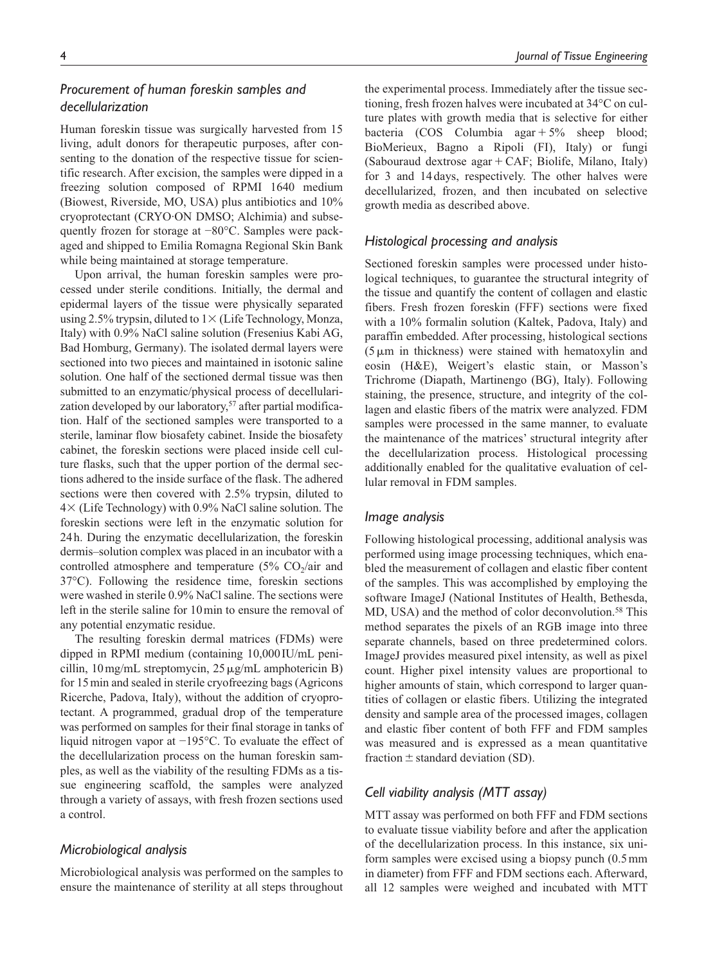# *Procurement of human foreskin samples and decellularization*

Human foreskin tissue was surgically harvested from 15 living, adult donors for therapeutic purposes, after consenting to the donation of the respective tissue for scientific research. After excision, the samples were dipped in a freezing solution composed of RPMI 1640 medium (Biowest, Riverside, MO, USA) plus antibiotics and 10% cryoprotectant (CRYO·ON DMSO; Alchimia) and subsequently frozen for storage at −80°C. Samples were packaged and shipped to Emilia Romagna Regional Skin Bank while being maintained at storage temperature.

Upon arrival, the human foreskin samples were processed under sterile conditions. Initially, the dermal and epidermal layers of the tissue were physically separated using 2.5% trypsin, diluted to  $1 \times$  (Life Technology, Monza, Italy) with 0.9% NaCl saline solution (Fresenius Kabi AG, Bad Homburg, Germany). The isolated dermal layers were sectioned into two pieces and maintained in isotonic saline solution. One half of the sectioned dermal tissue was then submitted to an enzymatic/physical process of decellularization developed by our laboratory,<sup>57</sup> after partial modification. Half of the sectioned samples were transported to a sterile, laminar flow biosafety cabinet. Inside the biosafety cabinet, the foreskin sections were placed inside cell culture flasks, such that the upper portion of the dermal sections adhered to the inside surface of the flask. The adhered sections were then covered with 2.5% trypsin, diluted to 4× (Life Technology) with 0.9% NaCl saline solution. The foreskin sections were left in the enzymatic solution for 24h. During the enzymatic decellularization, the foreskin dermis–solution complex was placed in an incubator with a controlled atmosphere and temperature  $(5\%$  CO<sub>2</sub>/air and 37°C). Following the residence time, foreskin sections were washed in sterile 0.9% NaCl saline. The sections were left in the sterile saline for 10min to ensure the removal of any potential enzymatic residue.

The resulting foreskin dermal matrices (FDMs) were dipped in RPMI medium (containing 10,000IU/mL penicillin, 10mg/mL streptomycin, 25μg/mL amphotericin B) for 15min and sealed in sterile cryofreezing bags (Agricons Ricerche, Padova, Italy), without the addition of cryoprotectant. A programmed, gradual drop of the temperature was performed on samples for their final storage in tanks of liquid nitrogen vapor at −195°C. To evaluate the effect of the decellularization process on the human foreskin samples, as well as the viability of the resulting FDMs as a tissue engineering scaffold, the samples were analyzed through a variety of assays, with fresh frozen sections used a control.

### *Microbiological analysis*

Microbiological analysis was performed on the samples to ensure the maintenance of sterility at all steps throughout the experimental process. Immediately after the tissue sectioning, fresh frozen halves were incubated at 34°C on culture plates with growth media that is selective for either bacteria (COS Columbia agar+5% sheep blood; BioMerieux, Bagno a Ripoli (FI), Italy) or fungi (Sabouraud dextrose agar+CAF; Biolife, Milano, Italy) for 3 and 14 days, respectively. The other halves were decellularized, frozen, and then incubated on selective growth media as described above.

## *Histological processing and analysis*

Sectioned foreskin samples were processed under histological techniques, to guarantee the structural integrity of the tissue and quantify the content of collagen and elastic fibers. Fresh frozen foreskin (FFF) sections were fixed with a 10% formalin solution (Kaltek, Padova, Italy) and paraffin embedded. After processing, histological sections  $(5 \mu m)$  in thickness) were stained with hematoxylin and eosin (H&E), Weigert's elastic stain, or Masson's Trichrome (Diapath, Martinengo (BG), Italy). Following staining, the presence, structure, and integrity of the collagen and elastic fibers of the matrix were analyzed. FDM samples were processed in the same manner, to evaluate the maintenance of the matrices' structural integrity after the decellularization process. Histological processing additionally enabled for the qualitative evaluation of cellular removal in FDM samples.

## *Image analysis*

Following histological processing, additional analysis was performed using image processing techniques, which enabled the measurement of collagen and elastic fiber content of the samples. This was accomplished by employing the software ImageJ (National Institutes of Health, Bethesda, MD, USA) and the method of color deconvolution.<sup>58</sup> This method separates the pixels of an RGB image into three separate channels, based on three predetermined colors. ImageJ provides measured pixel intensity, as well as pixel count. Higher pixel intensity values are proportional to higher amounts of stain, which correspond to larger quantities of collagen or elastic fibers. Utilizing the integrated density and sample area of the processed images, collagen and elastic fiber content of both FFF and FDM samples was measured and is expressed as a mean quantitative fraction  $\pm$  standard deviation (SD).

## *Cell viability analysis (MTT assay)*

MTT assay was performed on both FFF and FDM sections to evaluate tissue viability before and after the application of the decellularization process. In this instance, six uniform samples were excised using a biopsy punch (0.5mm in diameter) from FFF and FDM sections each. Afterward, all 12 samples were weighed and incubated with MTT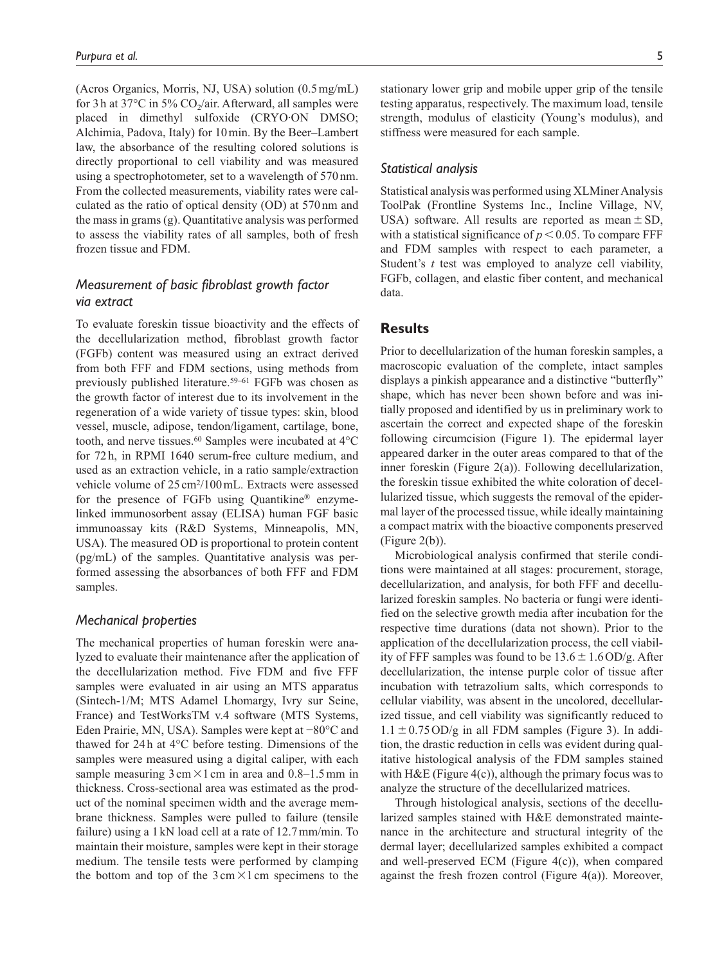(Acros Organics, Morris, NJ, USA) solution (0.5mg/mL) for 3 h at 37°C in 5% CO<sub>2</sub>/air. Afterward, all samples were placed in dimethyl sulfoxide (CRYO·ON DMSO; Alchimia, Padova, Italy) for 10min. By the Beer–Lambert law, the absorbance of the resulting colored solutions is directly proportional to cell viability and was measured using a spectrophotometer, set to a wavelength of 570nm. From the collected measurements, viability rates were calculated as the ratio of optical density (OD) at 570nm and the mass in grams (g). Quantitative analysis was performed to assess the viability rates of all samples, both of fresh frozen tissue and FDM.

# *Measurement of basic fibroblast growth factor via extract*

To evaluate foreskin tissue bioactivity and the effects of the decellularization method, fibroblast growth factor (FGFb) content was measured using an extract derived from both FFF and FDM sections, using methods from previously published literature.59–61 FGFb was chosen as the growth factor of interest due to its involvement in the regeneration of a wide variety of tissue types: skin, blood vessel, muscle, adipose, tendon/ligament, cartilage, bone, tooth, and nerve tissues.<sup>60</sup> Samples were incubated at 4°C for 72h, in RPMI 1640 serum-free culture medium, and used as an extraction vehicle, in a ratio sample/extraction vehicle volume of  $25 \text{ cm}^2/100 \text{ mL}$ . Extracts were assessed for the presence of FGFb using Quantikine® enzymelinked immunosorbent assay (ELISA) human FGF basic immunoassay kits (R&D Systems, Minneapolis, MN, USA). The measured OD is proportional to protein content (pg/mL) of the samples. Quantitative analysis was performed assessing the absorbances of both FFF and FDM samples.

## *Mechanical properties*

The mechanical properties of human foreskin were analyzed to evaluate their maintenance after the application of the decellularization method. Five FDM and five FFF samples were evaluated in air using an MTS apparatus (Sintech-1/M; MTS Adamel Lhomargy, Ivry sur Seine, France) and TestWorksTM v.4 software (MTS Systems, Eden Prairie, MN, USA). Samples were kept at −80°C and thawed for 24h at 4°C before testing. Dimensions of the samples were measured using a digital caliper, with each sample measuring  $3 \text{ cm} \times 1 \text{ cm}$  in area and  $0.8-1.5 \text{ mm}$  in thickness. Cross-sectional area was estimated as the product of the nominal specimen width and the average membrane thickness. Samples were pulled to failure (tensile failure) using a 1kN load cell at a rate of 12.7mm/min. To maintain their moisture, samples were kept in their storage medium. The tensile tests were performed by clamping the bottom and top of the  $3 \text{ cm} \times 1 \text{ cm}$  specimens to the

stationary lower grip and mobile upper grip of the tensile testing apparatus, respectively. The maximum load, tensile strength, modulus of elasticity (Young's modulus), and stiffness were measured for each sample.

### *Statistical analysis*

Statistical analysis was performed using XLMiner Analysis ToolPak (Frontline Systems Inc., Incline Village, NV, USA) software. All results are reported as mean  $\pm$  SD, with a statistical significance of  $p < 0.05$ . To compare FFF and FDM samples with respect to each parameter, a Student's *t* test was employed to analyze cell viability, FGFb, collagen, and elastic fiber content, and mechanical data.

## **Results**

Prior to decellularization of the human foreskin samples, a macroscopic evaluation of the complete, intact samples displays a pinkish appearance and a distinctive "butterfly" shape, which has never been shown before and was initially proposed and identified by us in preliminary work to ascertain the correct and expected shape of the foreskin following circumcision (Figure 1). The epidermal layer appeared darker in the outer areas compared to that of the inner foreskin (Figure 2(a)). Following decellularization, the foreskin tissue exhibited the white coloration of decellularized tissue, which suggests the removal of the epidermal layer of the processed tissue, while ideally maintaining a compact matrix with the bioactive components preserved (Figure 2(b)).

Microbiological analysis confirmed that sterile conditions were maintained at all stages: procurement, storage, decellularization, and analysis, for both FFF and decellularized foreskin samples. No bacteria or fungi were identified on the selective growth media after incubation for the respective time durations (data not shown). Prior to the application of the decellularization process, the cell viability of FFF samples was found to be  $13.6 \pm 1.6$  OD/g. After decellularization, the intense purple color of tissue after incubation with tetrazolium salts, which corresponds to cellular viability, was absent in the uncolored, decellularized tissue, and cell viability was significantly reduced to  $1.1 \pm 0.75$  OD/g in all FDM samples (Figure 3). In addition, the drastic reduction in cells was evident during qualitative histological analysis of the FDM samples stained with H&E (Figure 4(c)), although the primary focus was to analyze the structure of the decellularized matrices.

Through histological analysis, sections of the decellularized samples stained with H&E demonstrated maintenance in the architecture and structural integrity of the dermal layer; decellularized samples exhibited a compact and well-preserved ECM (Figure 4(c)), when compared against the fresh frozen control (Figure 4(a)). Moreover,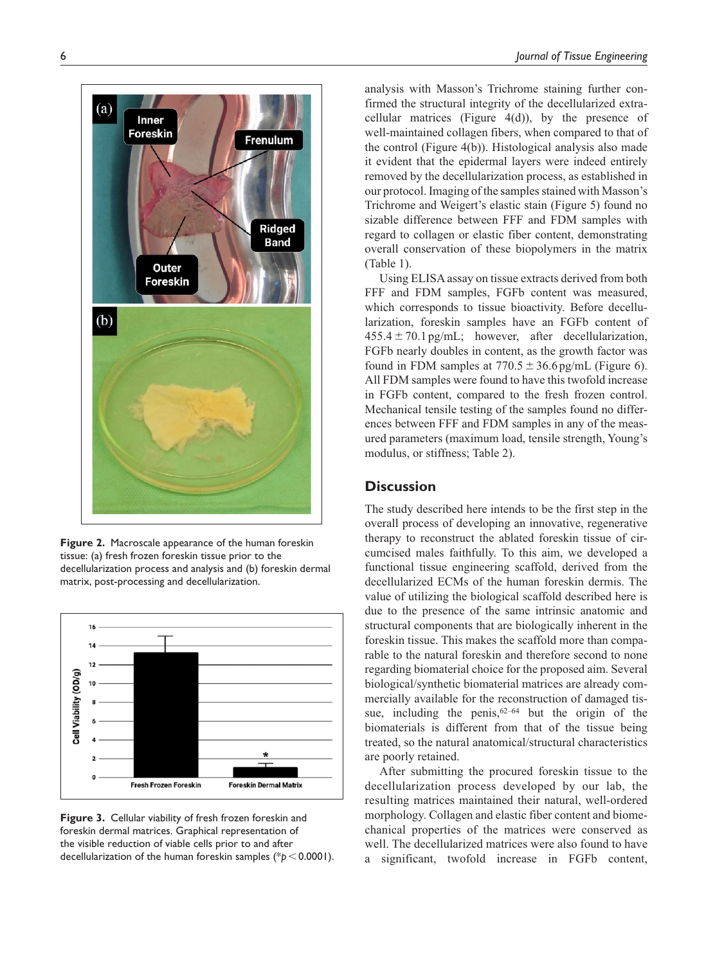

**Figure 2.** Macroscale appearance of the human foreskin tissue: (a) fresh frozen foreskin tissue prior to the decellularization process and analysis and (b) foreskin dermal matrix, post-processing and decellularization.



**Figure 3.** Cellular viability of fresh frozen foreskin and foreskin dermal matrices. Graphical representation of the visible reduction of viable cells prior to and after decellularization of the human foreskin samples (\**p*<0.0001).

analysis with Masson's Trichrome staining further confirmed the structural integrity of the decellularized extracellular matrices (Figure 4(d)), by the presence of well-maintained collagen fibers, when compared to that of the control (Figure 4(b)). Histological analysis also made it evident that the epidermal layers were indeed entirely removed by the decellularization process, as established in our protocol. Imaging of the samples stained with Masson's Trichrome and Weigert's elastic stain (Figure 5) found no sizable difference between FFF and FDM samples with regard to collagen or elastic fiber content, demonstrating overall conservation of these biopolymers in the matrix (Table 1).

Using ELISA assay on tissue extracts derived from both FFF and FDM samples, FGFb content was measured, which corresponds to tissue bioactivity. Before decellularization, foreskin samples have an FGFb content of  $455.4 \pm 70.1$  pg/mL; however, after decellularization, FGFb nearly doubles in content, as the growth factor was found in FDM samples at  $770.5 \pm 36.6$  pg/mL (Figure 6). All FDM samples were found to have this twofold increase in FGFb content, compared to the fresh frozen control. Mechanical tensile testing of the samples found no differences between FFF and FDM samples in any of the measured parameters (maximum load, tensile strength, Young's modulus, or stiffness; Table 2).

## **Discussion**

The study described here intends to be the first step in the overall process of developing an innovative, regenerative therapy to reconstruct the ablated foreskin tissue of circumcised males faithfully. To this aim, we developed a functional tissue engineering scaffold, derived from the decellularized ECMs of the human foreskin dermis. The value of utilizing the biological scaffold described here is due to the presence of the same intrinsic anatomic and structural components that are biologically inherent in the foreskin tissue. This makes the scaffold more than comparable to the natural foreskin and therefore second to none regarding biomaterial choice for the proposed aim. Several biological/synthetic biomaterial matrices are already commercially available for the reconstruction of damaged tissue, including the penis,  $62-64$  but the origin of the biomaterials is different from that of the tissue being treated, so the natural anatomical/structural characteristics are poorly retained.

After submitting the procured foreskin tissue to the decellularization process developed by our lab, the resulting matrices maintained their natural, well-ordered morphology. Collagen and elastic fiber content and biomechanical properties of the matrices were conserved as well. The decellularized matrices were also found to have a significant, twofold increase in FGFb content,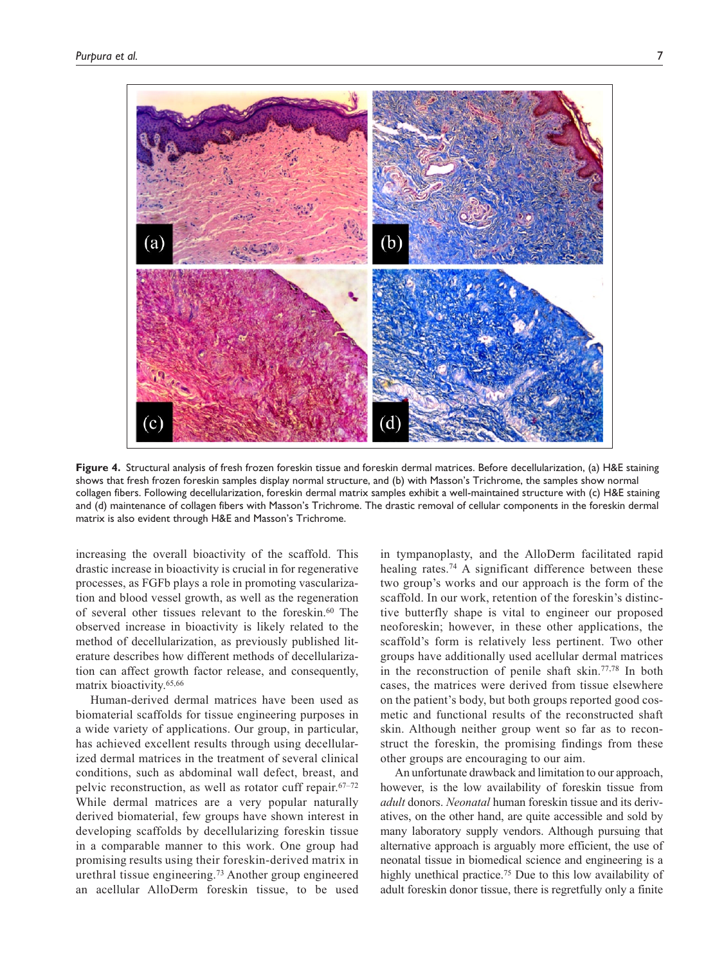

**Figure 4.** Structural analysis of fresh frozen foreskin tissue and foreskin dermal matrices. Before decellularization, (a) H&E staining shows that fresh frozen foreskin samples display normal structure, and (b) with Masson's Trichrome, the samples show normal collagen fibers. Following decellularization, foreskin dermal matrix samples exhibit a well-maintained structure with (c) H&E staining and (d) maintenance of collagen fibers with Masson's Trichrome. The drastic removal of cellular components in the foreskin dermal matrix is also evident through H&E and Masson's Trichrome.

increasing the overall bioactivity of the scaffold. This drastic increase in bioactivity is crucial in for regenerative processes, as FGFb plays a role in promoting vascularization and blood vessel growth, as well as the regeneration of several other tissues relevant to the foreskin.60 The observed increase in bioactivity is likely related to the method of decellularization, as previously published literature describes how different methods of decellularization can affect growth factor release, and consequently, matrix bioactivity.65,66

Human-derived dermal matrices have been used as biomaterial scaffolds for tissue engineering purposes in a wide variety of applications. Our group, in particular, has achieved excellent results through using decellularized dermal matrices in the treatment of several clinical conditions, such as abdominal wall defect, breast, and pelvic reconstruction, as well as rotator cuff repair.67–72 While dermal matrices are a very popular naturally derived biomaterial, few groups have shown interest in developing scaffolds by decellularizing foreskin tissue in a comparable manner to this work. One group had promising results using their foreskin-derived matrix in urethral tissue engineering.73 Another group engineered an acellular AlloDerm foreskin tissue, to be used in tympanoplasty, and the AlloDerm facilitated rapid healing rates.<sup>74</sup> A significant difference between these two group's works and our approach is the form of the scaffold. In our work, retention of the foreskin's distinctive butterfly shape is vital to engineer our proposed neoforeskin; however, in these other applications, the scaffold's form is relatively less pertinent. Two other groups have additionally used acellular dermal matrices in the reconstruction of penile shaft skin.77,78 In both cases, the matrices were derived from tissue elsewhere on the patient's body, but both groups reported good cosmetic and functional results of the reconstructed shaft skin. Although neither group went so far as to reconstruct the foreskin, the promising findings from these other groups are encouraging to our aim.

An unfortunate drawback and limitation to our approach, however, is the low availability of foreskin tissue from *adult* donors. *Neonatal* human foreskin tissue and its derivatives, on the other hand, are quite accessible and sold by many laboratory supply vendors. Although pursuing that alternative approach is arguably more efficient, the use of neonatal tissue in biomedical science and engineering is a highly unethical practice.<sup>75</sup> Due to this low availability of adult foreskin donor tissue, there is regretfully only a finite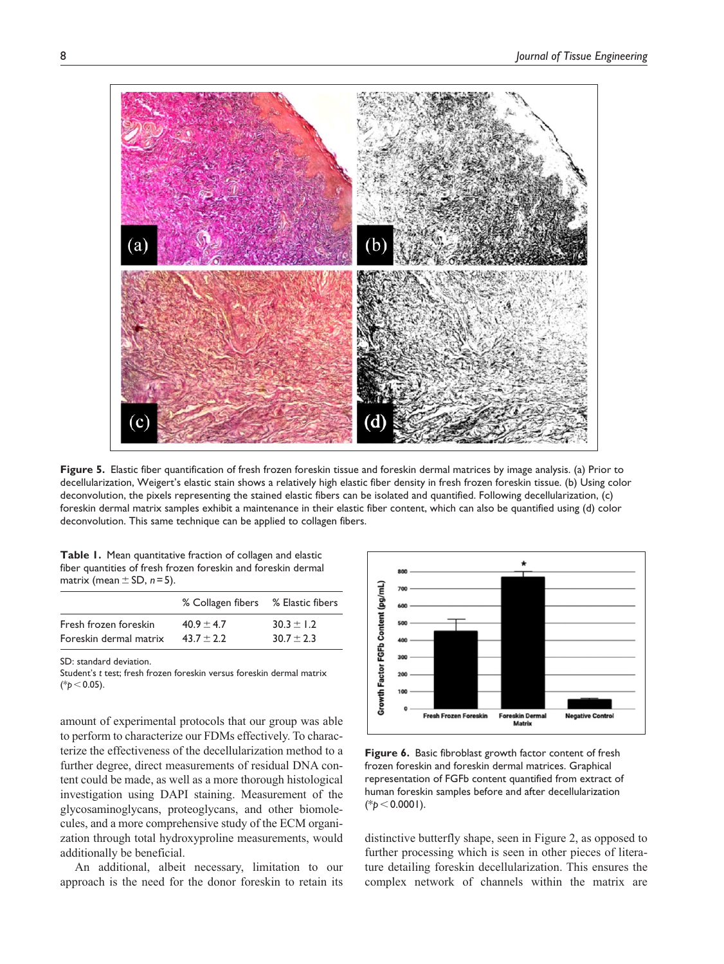

**Figure 5.** Elastic fiber quantification of fresh frozen foreskin tissue and foreskin dermal matrices by image analysis. (a) Prior to decellularization, Weigert's elastic stain shows a relatively high elastic fiber density in fresh frozen foreskin tissue. (b) Using color deconvolution, the pixels representing the stained elastic fibers can be isolated and quantified. Following decellularization, (c) foreskin dermal matrix samples exhibit a maintenance in their elastic fiber content, which can also be quantified using (d) color deconvolution. This same technique can be applied to collagen fibers.

| <b>Table 1.</b> Mean quantitative fraction of collagen and elastic |
|--------------------------------------------------------------------|
| fiber quantities of fresh frozen foreskin and foreskin dermal      |
| matrix (mean $\pm$ SD, n = 5).                                     |

|                        | % Collagen fibers % Elastic fibers |              |
|------------------------|------------------------------------|--------------|
| Fresh frozen foreskin  | $40.9 + 4.7$                       | $30.3 + 1.2$ |
| Foreskin dermal matrix | $43.7 + 2.2$                       | $30.7 + 2.3$ |

SD: standard deviation.

Student's *t* test; fresh frozen foreskin versus foreskin dermal matrix (\**p*<0.05).

amount of experimental protocols that our group was able to perform to characterize our FDMs effectively. To characterize the effectiveness of the decellularization method to a further degree, direct measurements of residual DNA content could be made, as well as a more thorough histological investigation using DAPI staining. Measurement of the glycosaminoglycans, proteoglycans, and other biomolecules, and a more comprehensive study of the ECM organization through total hydroxyproline measurements, would additionally be beneficial.

An additional, albeit necessary, limitation to our approach is the need for the donor foreskin to retain its



**Figure 6.** Basic fibroblast growth factor content of fresh frozen foreskin and foreskin dermal matrices. Graphical representation of FGFb content quantified from extract of human foreskin samples before and after decellularization  $(*p < 0.0001).$ 

distinctive butterfly shape, seen in Figure 2, as opposed to further processing which is seen in other pieces of literature detailing foreskin decellularization. This ensures the complex network of channels within the matrix are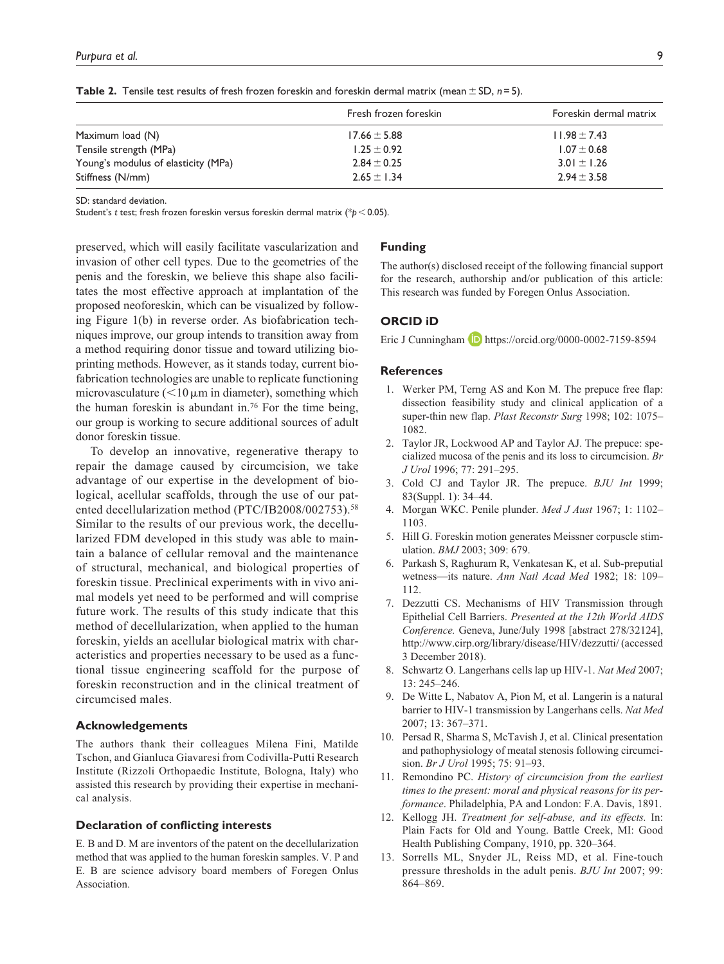|                                     | Fresh frozen foreskin | Foreskin dermal matrix |
|-------------------------------------|-----------------------|------------------------|
| Maximum load (N)                    | $17.66 \pm 5.88$      | $11.98 \pm 7.43$       |
| Tensile strength (MPa)              | $1.25 \pm 0.92$       | $1.07 \pm 0.68$        |
| Young's modulus of elasticity (MPa) | $2.84 \pm 0.25$       | $3.01 \pm 1.26$        |
| Stiffness (N/mm)                    | $2.65 \pm 1.34$       | $2.94 \pm 3.58$        |

**Table 2.** Tensile test results of fresh frozen foreskin and foreskin dermal matrix (mean  $\pm$  SD,  $n=5$ ).

SD: standard deviation.

Student's *t* test; fresh frozen foreskin versus foreskin dermal matrix (\**p*<0.05).

preserved, which will easily facilitate vascularization and invasion of other cell types. Due to the geometries of the penis and the foreskin, we believe this shape also facilitates the most effective approach at implantation of the proposed neoforeskin, which can be visualized by following Figure 1(b) in reverse order. As biofabrication techniques improve, our group intends to transition away from a method requiring donor tissue and toward utilizing bioprinting methods. However, as it stands today, current biofabrication technologies are unable to replicate functioning microvasculature  $(<10 \mu m$  in diameter), something which the human foreskin is abundant in.<sup>76</sup> For the time being, our group is working to secure additional sources of adult donor foreskin tissue.

To develop an innovative, regenerative therapy to repair the damage caused by circumcision, we take advantage of our expertise in the development of biological, acellular scaffolds, through the use of our patented decellularization method (PTC/IB2008/002753).<sup>58</sup> Similar to the results of our previous work, the decellularized FDM developed in this study was able to maintain a balance of cellular removal and the maintenance of structural, mechanical, and biological properties of foreskin tissue. Preclinical experiments with in vivo animal models yet need to be performed and will comprise future work. The results of this study indicate that this method of decellularization, when applied to the human foreskin, yields an acellular biological matrix with characteristics and properties necessary to be used as a functional tissue engineering scaffold for the purpose of foreskin reconstruction and in the clinical treatment of circumcised males.

#### **Acknowledgements**

The authors thank their colleagues Milena Fini, Matilde Tschon, and Gianluca Giavaresi from Codivilla-Putti Research Institute (Rizzoli Orthopaedic Institute, Bologna, Italy) who assisted this research by providing their expertise in mechanical analysis.

### **Declaration of conflicting interests**

E. B and D. M are inventors of the patent on the decellularization method that was applied to the human foreskin samples. V. P and E. B are science advisory board members of Foregen Onlus Association.

#### **Funding**

The author(s) disclosed receipt of the following financial support for the research, authorship and/or publication of this article: This research was funded by Foregen Onlus Association.

### **ORCID iD**

Eric J Cunningham **D** <https://orcid.org/0000-0002-7159-8594>

### **References**

- 1. Werker PM, Terng AS and Kon M. The prepuce free flap: dissection feasibility study and clinical application of a super-thin new flap. *Plast Reconstr Surg* 1998; 102: 1075– 1082.
- 2. Taylor JR, Lockwood AP and Taylor AJ. The prepuce: specialized mucosa of the penis and its loss to circumcision. *Br J Urol* 1996; 77: 291–295.
- 3. Cold CJ and Taylor JR. The prepuce. *BJU Int* 1999; 83(Suppl. 1): 34–44.
- 4. Morgan WKC. Penile plunder. *Med J Aust* 1967; 1: 1102– 1103.
- 5. Hill G. Foreskin motion generates Meissner corpuscle stimulation. *BMJ* 2003; 309: 679.
- 6. Parkash S, Raghuram R, Venkatesan K, et al. Sub-preputial wetness—its nature. *Ann Natl Acad Med* 1982; 18: 109– 112.
- 7. Dezzutti CS. Mechanisms of HIV Transmission through Epithelial Cell Barriers. *Presented at the 12th World AIDS Conference.* Geneva, June/July 1998 [abstract 278/32124], <http://www.cirp.org/library/disease/HIV/dezzutti/> (accessed 3 December 2018).
- 8. Schwartz O. Langerhans cells lap up HIV-1. *Nat Med* 2007; 13: 245–246.
- 9. De Witte L, Nabatov A, Pion M, et al. Langerin is a natural barrier to HIV-1 transmission by Langerhans cells. *Nat Med* 2007; 13: 367–371.
- 10. Persad R, Sharma S, McTavish J, et al. Clinical presentation and pathophysiology of meatal stenosis following circumcision. *Br J Urol* 1995; 75: 91–93.
- 11. Remondino PC. *History of circumcision from the earliest times to the present: moral and physical reasons for its performance*. Philadelphia, PA and London: F.A. Davis, 1891.
- 12. Kellogg JH. *Treatment for self-abuse, and its effects.* In: Plain Facts for Old and Young. Battle Creek, MI: Good Health Publishing Company, 1910, pp. 320–364.
- 13. Sorrells ML, Snyder JL, Reiss MD, et al. Fine-touch pressure thresholds in the adult penis. *BJU Int* 2007; 99: 864–869.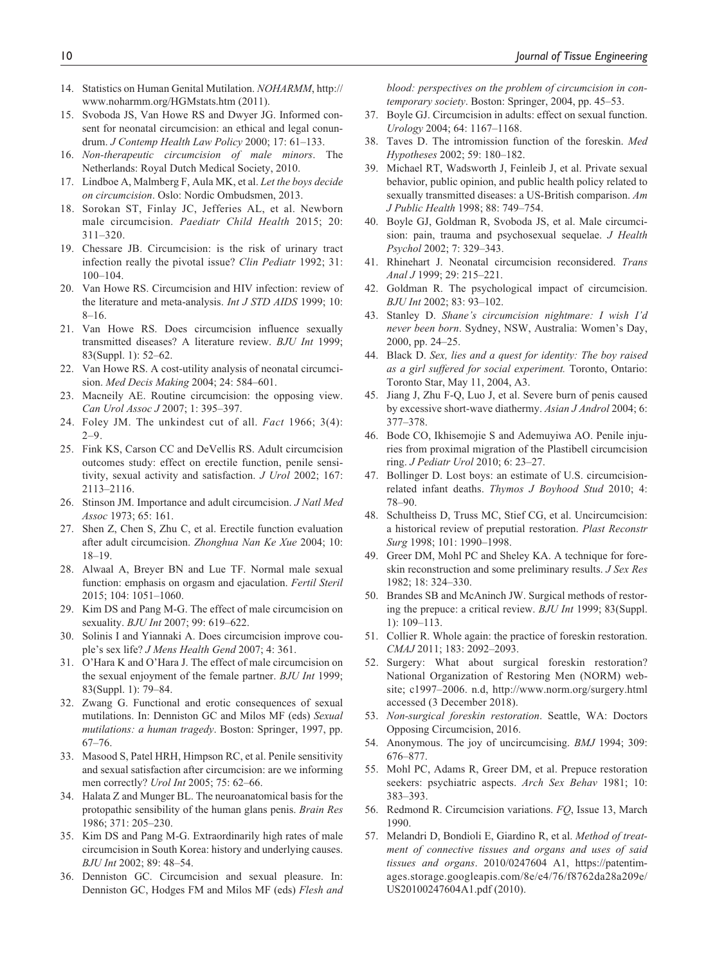- 14. Statistics on Human Genital Mutilation. *NOHARMM*, [http://](http://www.noharmm.org/HGMstats.htm) [www.noharmm.org/HGMstats.htm](http://www.noharmm.org/HGMstats.htm) (2011).
- 15. Svoboda JS, Van Howe RS and Dwyer JG. Informed consent for neonatal circumcision: an ethical and legal conundrum. *J Contemp Health Law Policy* 2000; 17: 61–133.
- 16. *Non-therapeutic circumcision of male minors*. The Netherlands: Royal Dutch Medical Society, 2010.
- 17. Lindboe A, Malmberg F, Aula MK, et al. *Let the boys decide on circumcision*. Oslo: Nordic Ombudsmen, 2013.
- 18. Sorokan ST, Finlay JC, Jefferies AL, et al. Newborn male circumcision. *Paediatr Child Health* 2015; 20: 311–320.
- 19. Chessare JB. Circumcision: is the risk of urinary tract infection really the pivotal issue? *Clin Pediatr* 1992; 31: 100–104.
- 20. Van Howe RS. Circumcision and HIV infection: review of the literature and meta-analysis. *Int J STD AIDS* 1999; 10: 8–16.
- 21. Van Howe RS. Does circumcision influence sexually transmitted diseases? A literature review. *BJU Int* 1999; 83(Suppl. 1): 52–62.
- 22. Van Howe RS. A cost-utility analysis of neonatal circumcision. *Med Decis Making* 2004; 24: 584–601.
- 23. Macneily AE. Routine circumcision: the opposing view. *Can Urol Assoc J* 2007; 1: 395–397.
- 24. Foley JM. The unkindest cut of all. *Fact* 1966; 3(4): 2–9.
- 25. Fink KS, Carson CC and DeVellis RS. Adult circumcision outcomes study: effect on erectile function, penile sensitivity, sexual activity and satisfaction. *J Urol* 2002; 167: 2113–2116.
- 26. Stinson JM. Importance and adult circumcision. *J Natl Med Assoc* 1973; 65: 161.
- 27. Shen Z, Chen S, Zhu C, et al. Erectile function evaluation after adult circumcision. *Zhonghua Nan Ke Xue* 2004; 10: 18–19.
- 28. Alwaal A, Breyer BN and Lue TF. Normal male sexual function: emphasis on orgasm and ejaculation. *Fertil Steril* 2015; 104: 1051–1060.
- 29. Kim DS and Pang M-G. The effect of male circumcision on sexuality. *BJU Int* 2007; 99: 619–622.
- 30. Solinis I and Yiannaki A. Does circumcision improve couple's sex life? *J Mens Health Gend* 2007; 4: 361.
- 31. O'Hara K and O'Hara J. The effect of male circumcision on the sexual enjoyment of the female partner. *BJU Int* 1999; 83(Suppl. 1): 79–84.
- 32. Zwang G. Functional and erotic consequences of sexual mutilations. In: Denniston GC and Milos MF (eds) *Sexual mutilations: a human tragedy*. Boston: Springer, 1997, pp. 67–76.
- 33. Masood S, Patel HRH, Himpson RC, et al. Penile sensitivity and sexual satisfaction after circumcision: are we informing men correctly? *Urol Int* 2005; 75: 62–66.
- 34. Halata Z and Munger BL. The neuroanatomical basis for the protopathic sensibility of the human glans penis. *Brain Res* 1986; 371: 205–230.
- 35. Kim DS and Pang M-G. Extraordinarily high rates of male circumcision in South Korea: history and underlying causes. *BJU Int* 2002; 89: 48–54.
- 36. Denniston GC. Circumcision and sexual pleasure. In: Denniston GC, Hodges FM and Milos MF (eds) *Flesh and*

*blood: perspectives on the problem of circumcision in contemporary society*. Boston: Springer, 2004, pp. 45–53.

- 37. Boyle GJ. Circumcision in adults: effect on sexual function. *Urology* 2004; 64: 1167–1168.
- 38. Taves D. The intromission function of the foreskin. *Med Hypotheses* 2002; 59: 180–182.
- 39. Michael RT, Wadsworth J, Feinleib J, et al. Private sexual behavior, public opinion, and public health policy related to sexually transmitted diseases: a US-British comparison. *Am J Public Health* 1998; 88: 749–754.
- 40. Boyle GJ, Goldman R, Svoboda JS, et al. Male circumcision: pain, trauma and psychosexual sequelae. *J Health Psychol* 2002; 7: 329–343.
- 41. Rhinehart J. Neonatal circumcision reconsidered. *Trans Anal J* 1999; 29: 215–221.
- 42. Goldman R. The psychological impact of circumcision. *BJU Int* 2002; 83: 93–102.
- 43. Stanley D. *Shane's circumcision nightmare: I wish I'd never been born*. Sydney, NSW, Australia: Women's Day, 2000, pp. 24–25.
- 44. Black D. *Sex, lies and a quest for identity: The boy raised as a girl suffered for social experiment.* Toronto, Ontario: Toronto Star, May 11, 2004, A3.
- 45. Jiang J, Zhu F-Q, Luo J, et al. Severe burn of penis caused by excessive short-wave diathermy. *Asian J Androl* 2004; 6: 377–378.
- 46. Bode CO, Ikhisemojie S and Ademuyiwa AO. Penile injuries from proximal migration of the Plastibell circumcision ring. *J Pediatr Urol* 2010; 6: 23–27.
- 47. Bollinger D. Lost boys: an estimate of U.S. circumcisionrelated infant deaths. *Thymos J Boyhood Stud* 2010; 4: 78–90.
- 48. Schultheiss D, Truss MC, Stief CG, et al. Uncircumcision: a historical review of preputial restoration. *Plast Reconstr Surg* 1998; 101: 1990–1998.
- 49. Greer DM, Mohl PC and Sheley KA. A technique for foreskin reconstruction and some preliminary results. *J Sex Res* 1982; 18: 324–330.
- 50. Brandes SB and McAninch JW. Surgical methods of restoring the prepuce: a critical review. *BJU Int* 1999; 83(Suppl. 1): 109–113.
- 51. Collier R. Whole again: the practice of foreskin restoration. *CMAJ* 2011; 183: 2092–2093.
- 52. Surgery: What about surgical foreskin restoration? National Organization of Restoring Men (NORM) website; c1997–2006. n.d, <http://www.norm.org/surgery.html> accessed (3 December 2018).
- 53. *Non-surgical foreskin restoration*. Seattle, WA: Doctors Opposing Circumcision, 2016.
- 54. Anonymous. The joy of uncircumcising. *BMJ* 1994; 309: 676–877.
- 55. Mohl PC, Adams R, Greer DM, et al. Prepuce restoration seekers: psychiatric aspects. *Arch Sex Behav* 1981; 10: 383–393.
- 56. Redmond R. Circumcision variations. *FQ*, Issue 13, March 1990.
- 57. Melandri D, Bondioli E, Giardino R, et al. *Method of treatment of connective tissues and organs and uses of said tissues and organs*. 2010/0247604 A1, [https://patentim](https://patentimages.storage.googleapis.com/8e/e4/76/f8762da28a209e/US20100247604A1.pdf)[ages.storage.googleapis.com/8e/e4/76/f8762da28a209e/](https://patentimages.storage.googleapis.com/8e/e4/76/f8762da28a209e/US20100247604A1.pdf) [US20100247604A1.pdf](https://patentimages.storage.googleapis.com/8e/e4/76/f8762da28a209e/US20100247604A1.pdf) (2010).